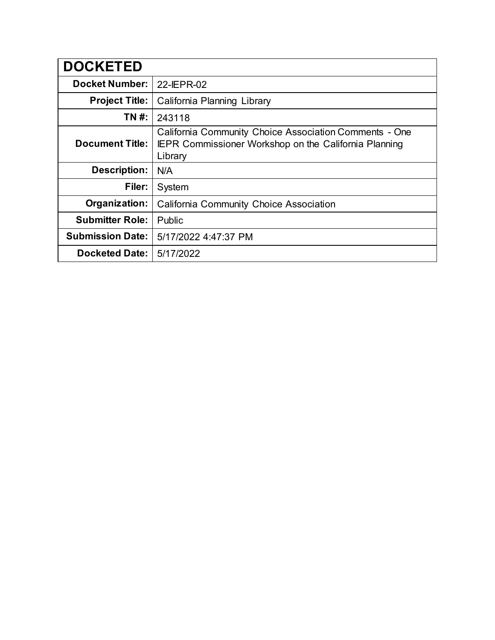| <b>DOCKETED</b>         |                                                                                                                                   |  |  |
|-------------------------|-----------------------------------------------------------------------------------------------------------------------------------|--|--|
| <b>Docket Number:</b>   | 22-IEPR-02                                                                                                                        |  |  |
| <b>Project Title:</b>   | California Planning Library                                                                                                       |  |  |
| TN #:                   | 243118                                                                                                                            |  |  |
| <b>Document Title:</b>  | California Community Choice Association Comments - One<br><b>IEPR Commissioner Workshop on the California Planning</b><br>Library |  |  |
| <b>Description:</b>     | N/A                                                                                                                               |  |  |
| Filer:                  | System                                                                                                                            |  |  |
| Organization:           | <b>California Community Choice Association</b>                                                                                    |  |  |
| <b>Submitter Role:</b>  | Public                                                                                                                            |  |  |
| <b>Submission Date:</b> | 5/17/2022 4:47:37 PM                                                                                                              |  |  |
| <b>Docketed Date:</b>   | 5/17/2022                                                                                                                         |  |  |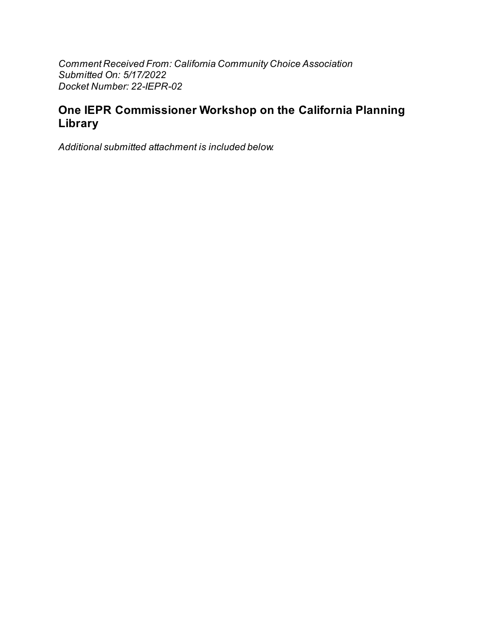Comment Received From: California Community Choice Association Submitted On: 5/17/2022 Docket Number: 22-IEPR-02

# One IEPR Commissioner Workshop on the California Planning Library

Additional submitted attachment is included below.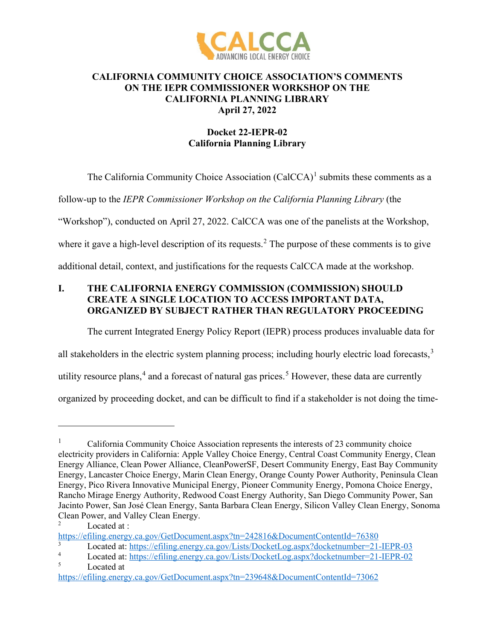

#### **CALIFORNIA COMMUNITY CHOICE ASSOCIATION'S COMMENTS ON THE IEPR COMMISSIONER WORKSHOP ON THE CALIFORNIA PLANNING LIBRARY April 27, 2022**

# **Docket 22-IEPR-02 California Planning Library**

The California Community Choice Association  $(CaCCCA)^1$  $(CaCCCA)^1$  submits these comments as a

follow-up to the *IEPR Commissioner Workshop on the California Planning Library* (the

"Workshop"), conducted on April 27, 2022. CalCCA was one of the panelists at the Workshop,

where it gave a high-level description of its requests.<sup>[2](#page-2-1)</sup> The purpose of these comments is to give

additional detail, context, and justifications for the requests CalCCA made at the workshop.

## **I. THE CALIFORNIA ENERGY COMMISSION (COMMISSION) SHOULD CREATE A SINGLE LOCATION TO ACCESS IMPORTANT DATA, ORGANIZED BY SUBJECT RATHER THAN REGULATORY PROCEEDING**

The current Integrated Energy Policy Report (IEPR) process produces invaluable data for

all stakeholders in the electric system planning process; including hourly electric load forecasts,<sup>[3](#page-2-2)</sup>

utility resource plans,<sup>[4](#page-2-3)</sup> and a forecast of natural gas prices.<sup>[5](#page-2-4)</sup> However, these data are currently

organized by proceeding docket, and can be difficult to find if a stakeholder is not doing the time-

<span id="page-2-0"></span><sup>&</sup>lt;sup>1</sup> California Community Choice Association represents the interests of 23 community choice electricity providers in California: Apple Valley Choice Energy, Central Coast Community Energy, Clean Energy Alliance, Clean Power Alliance, CleanPowerSF, Desert Community Energy, East Bay Community Energy, Lancaster Choice Energy, Marin Clean Energy, Orange County Power Authority, Peninsula Clean Energy, Pico Rivera Innovative Municipal Energy, Pioneer Community Energy, Pomona Choice Energy, Rancho Mirage Energy Authority, Redwood Coast Energy Authority, San Diego Community Power, San Jacinto Power, San José Clean Energy, Santa Barbara Clean Energy, Silicon Valley Clean Energy, Sonoma Clean Power, and Valley Clean Energy. 2 Located at :

<span id="page-2-1"></span><https://efiling.energy.ca.gov/GetDocument.aspx?tn=242816&DocumentContentId=76380>3

<span id="page-2-2"></span>Located at: https://efiling.energy.ca.gov/Lists/DocketLog.aspx?docketnumber=21-IEPR-03<br>
Located at: https://efiling.energy.ca.gov/Lists/DocketLog.aspx?docketnumber=21-IEPP\_02

<span id="page-2-3"></span><sup>&</sup>lt;sup>4</sup><br>Located at: https://efiling.energy.ca.gov/Lists/DocketLog.aspx?docketnumber=21-IEPR-02<br>Located at

<span id="page-2-4"></span><https://efiling.energy.ca.gov/GetDocument.aspx?tn=239648&DocumentContentId=73062>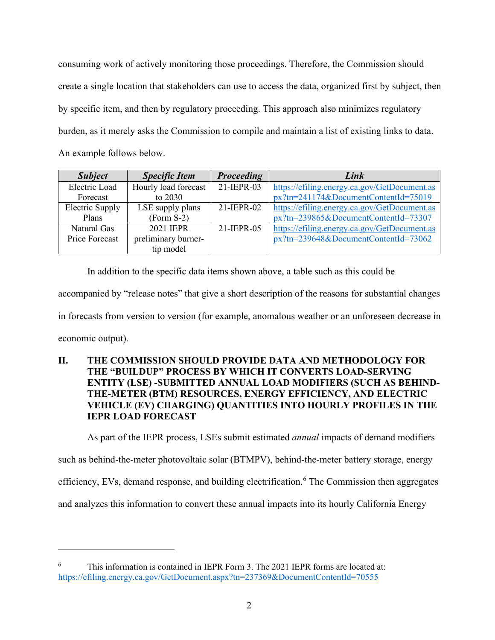consuming work of actively monitoring those proceedings. Therefore, the Commission should create a single location that stakeholders can use to access the data, organized first by subject, then by specific item, and then by regulatory proceeding. This approach also minimizes regulatory burden, as it merely asks the Commission to compile and maintain a list of existing links to data. An example follows below.

| <b>Subject</b>  | <b>Specific Item</b> | <b>Proceeding</b> | Link                                         |
|-----------------|----------------------|-------------------|----------------------------------------------|
| Electric Load   | Hourly load forecast | 21-IEPR-03        | https://efiling.energy.ca.gov/GetDocument.as |
| Forecast        | to 2030              |                   | $px?tn=241174&DocumentContentId=75019$       |
| Electric Supply | LSE supply plans     | 21-IEPR-02        | https://efiling.energy.ca.gov/GetDocument.as |
| Plans           | $(Form S-2)$         |                   | px?tn=239865&DocumentContentId=73307         |
| Natural Gas     | 2021 <b>IEPR</b>     | 21-IEPR-05        | https://efiling.energy.ca.gov/GetDocument.as |
| Price Forecast  | preliminary burner-  |                   | px?tn=239648&DocumentContentId=73062         |
|                 | tip model            |                   |                                              |

In addition to the specific data items shown above, a table such as this could be accompanied by "release notes" that give a short description of the reasons for substantial changes in forecasts from version to version (for example, anomalous weather or an unforeseen decrease in economic output).

## **II. THE COMMISSION SHOULD PROVIDE DATA AND METHODOLOGY FOR THE "BUILDUP" PROCESS BY WHICH IT CONVERTS LOAD-SERVING ENTITY (LSE) -SUBMITTED ANNUAL LOAD MODIFIERS (SUCH AS BEHIND-THE-METER (BTM) RESOURCES, ENERGY EFFICIENCY, AND ELECTRIC VEHICLE (EV) CHARGING) QUANTITIES INTO HOURLY PROFILES IN THE IEPR LOAD FORECAST**

As part of the IEPR process, LSEs submit estimated *annual* impacts of demand modifiers

such as behind-the-meter photovoltaic solar (BTMPV), behind-the-meter battery storage, energy

efficiency, EVs, demand response, and building electrification.<sup>[6](#page-3-0)</sup> The Commission then aggregates

and analyzes this information to convert these annual impacts into its hourly California Energy

<span id="page-3-0"></span><sup>6</sup> This information is contained in IEPR Form 3. The 2021 IEPR forms are located at: <https://efiling.energy.ca.gov/GetDocument.aspx?tn=237369&DocumentContentId=70555>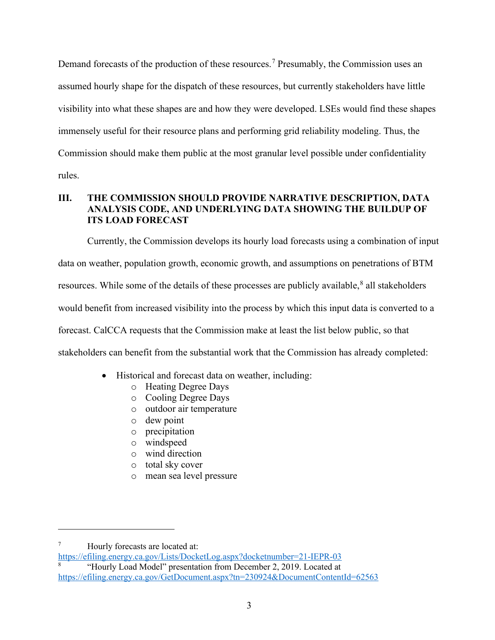Demand forecasts of the production of these resources.<sup>[7](#page-4-0)</sup> Presumably, the Commission uses an assumed hourly shape for the dispatch of these resources, but currently stakeholders have little visibility into what these shapes are and how they were developed. LSEs would find these shapes immensely useful for their resource plans and performing grid reliability modeling. Thus, the Commission should make them public at the most granular level possible under confidentiality rules.

### **III. THE COMMISSION SHOULD PROVIDE NARRATIVE DESCRIPTION, DATA ANALYSIS CODE, AND UNDERLYING DATA SHOWING THE BUILDUP OF ITS LOAD FORECAST**

Currently, the Commission develops its hourly load forecasts using a combination of input data on weather, population growth, economic growth, and assumptions on penetrations of BTM resources. While some of the details of these processes are publicly available,  $^8$  $^8$  all stakeholders would benefit from increased visibility into the process by which this input data is converted to a forecast. CalCCA requests that the Commission make at least the list below public, so that stakeholders can benefit from the substantial work that the Commission has already completed:

- Historical and forecast data on weather, including:
	- o Heating Degree Days
	- o Cooling Degree Days
	- o outdoor air temperature
	- o dew point
	- o precipitation
	- windspeed
	- o wind direction
	- o total sky cover
	- o mean sea level pressure

<span id="page-4-0"></span><sup>7</sup> Hourly forecasts are located at:

<https://efiling.energy.ca.gov/Lists/DocketLog.aspx?docketnumber=21-IEPR-03>

<span id="page-4-1"></span><sup>8</sup> "Hourly Load Model" presentation from December 2, 2019. Located at <https://efiling.energy.ca.gov/GetDocument.aspx?tn=230924&DocumentContentId=62563>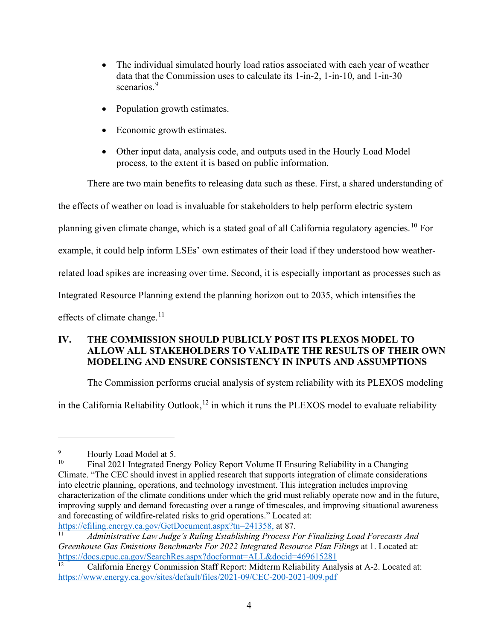- The individual simulated hourly load ratios associated with each year of weather data that the Commission uses to calculate its 1-in-2, 1-in-10, and 1-in-30 scenarios.<sup>[9](#page-5-0)</sup>
- Population growth estimates.
- Economic growth estimates.
- Other input data, analysis code, and outputs used in the Hourly Load Model process, to the extent it is based on public information.

There are two main benefits to releasing data such as these. First, a shared understanding of

the effects of weather on load is invaluable for stakeholders to help perform electric system

planning given climate change, which is a stated goal of all California regulatory agencies.<sup>[10](#page-5-1)</sup> For

example, it could help inform LSEs' own estimates of their load if they understood how weather-

related load spikes are increasing over time. Second, it is especially important as processes such as

Integrated Resource Planning extend the planning horizon out to 2035, which intensifies the

effects of climate change. $11$ 

# **IV. THE COMMISSION SHOULD PUBLICLY POST ITS PLEXOS MODEL TO ALLOW ALL STAKEHOLDERS TO VALIDATE THE RESULTS OF THEIR OWN MODELING AND ENSURE CONSISTENCY IN INPUTS AND ASSUMPTIONS**

The Commission performs crucial analysis of system reliability with its PLEXOS modeling

in the California Reliability Outlook,  $12$  in which it runs the PLEXOS model to evaluate reliability

<span id="page-5-0"></span><sup>9</sup>  $^{9}$  Hourly Load Model at 5.<br> $^{10}$  Einel 2021 Integrated Eng

<span id="page-5-1"></span><sup>10</sup> Final 2021 Integrated Energy Policy Report Volume II Ensuring Reliability in a Changing Climate. "The CEC should invest in applied research that supports integration of climate considerations into electric planning, operations, and technology investment. This integration includes improving characterization of the climate conditions under which the grid must reliably operate now and in the future, improving supply and demand forecasting over a range of timescales, and improving situational awareness and forecasting of wildfire-related risks to grid operations." Located at:

<span id="page-5-2"></span>https://efiling.energy.ca.gov/GetDocument.aspx?tn=241358, at 87.<br><sup>11</sup> *Administrative Law Judge's Ruling Establishing Process For Finalizing Load Forecasts And Greenhouse Gas Emissions Benchmarks For 2022 Integrated Resource Plan Filings* at 1. Located at: <https://docs.cpuc.ca.gov/SearchRes.aspx?docformat=ALL&docid=469615281>

<span id="page-5-3"></span><sup>12</sup> California Energy Commission Staff Report: Midterm Reliability Analysis at A-2. Located at: <https://www.energy.ca.gov/sites/default/files/2021-09/CEC-200-2021-009.pdf>